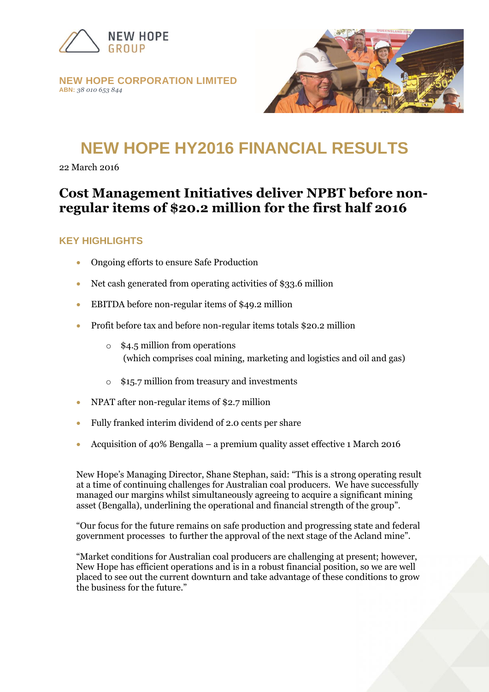

#### **NEW HOPE CORPORATION LIMITED ABN:** *38 010 653 844*



# **NEW HOPE HY2016 FINANCIAL RESULTS**

22 March 2016

# **Cost Management Initiatives deliver NPBT before nonregular items of \$20.2 million for the first half 2016**

#### **KEY HIGHLIGHTS**

- Ongoing efforts to ensure Safe Production
- Net cash generated from operating activities of \$33.6 million
- EBITDA before non-regular items of \$49.2 million
- Profit before tax and before non-regular items totals \$20.2 million
	- o \$4.5 million from operations (which comprises coal mining, marketing and logistics and oil and gas)
	- o \$15.7 million from treasury and investments
- NPAT after non-regular items of \$2.7 million
- Fully franked interim dividend of 2.0 cents per share
- Acquisition of 40% Bengalla a premium quality asset effective 1 March 2016

New Hope"s Managing Director, Shane Stephan, said: "This is a strong operating result at a time of continuing challenges for Australian coal producers. We have successfully managed our margins whilst simultaneously agreeing to acquire a significant mining asset (Bengalla), underlining the operational and financial strength of the group".

"Our focus for the future remains on safe production and progressing state and federal government processes to further the approval of the next stage of the Acland mine".

"Market conditions for Australian coal producers are challenging at present; however, New Hope has efficient operations and is in a robust financial position, so we are well placed to see out the current downturn and take advantage of these conditions to grow the business for the future."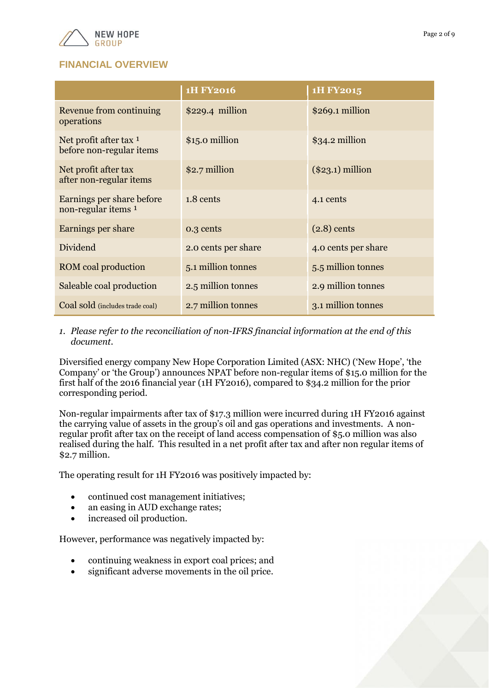

## **FINANCIAL OVERVIEW**

|                                                    | <b>1H FY2016</b>    | 1H FY2015           |
|----------------------------------------------------|---------------------|---------------------|
| Revenue from continuing<br>operations              | $$229.4$ million    | $$269.1$ million    |
| Net profit after tax 1<br>before non-regular items | \$15.0 million      | \$34.2 million      |
| Net profit after tax<br>after non-regular items    | \$2.7 million       | $(\$23.1)$ million  |
| Earnings per share before<br>non-regular items 1   | 1.8 cents           | 4.1 cents           |
| Earnings per share                                 | 0.3 cents           | $(2.8)$ cents       |
| Dividend                                           | 2.0 cents per share | 4.0 cents per share |
| <b>ROM</b> coal production                         | 5.1 million tonnes  | 5.5 million tonnes  |
| Saleable coal production                           | 2.5 million tonnes  | 2.9 million tonnes  |
| Coal sold (includes trade coal)                    | 2.7 million tonnes  | 3.1 million tonnes  |

*1. Please refer to the reconciliation of non-IFRS financial information at the end of this document.*

Diversified energy company New Hope Corporation Limited (ASX: NHC) ("New Hope", "the Company" or "the Group") announces NPAT before non-regular items of \$15.0 million for the first half of the 2016 financial year (1H FY2016), compared to \$34.2 million for the prior corresponding period.

Non-regular impairments after tax of \$17.3 million were incurred during 1H FY2016 against the carrying value of assets in the group's oil and gas operations and investments. A nonregular profit after tax on the receipt of land access compensation of \$5.0 million was also realised during the half. This resulted in a net profit after tax and after non regular items of \$2.7 million.

The operating result for 1H FY2016 was positively impacted by:

- continued cost management initiatives;
- an easing in AUD exchange rates;
- increased oil production.

However, performance was negatively impacted by:

- continuing weakness in export coal prices; and
- significant adverse movements in the oil price.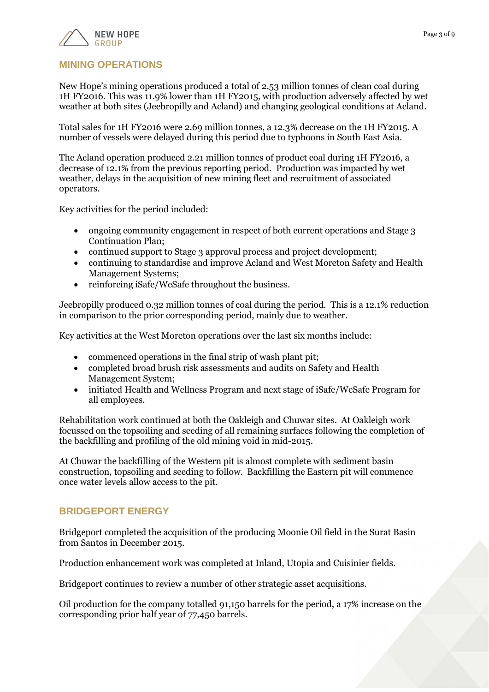

#### **MINING OPERATIONS**

New Hope"s mining operations produced a total of 2.53 million tonnes of clean coal during 1H FY2016. This was 11.9% lower than 1H FY2015, with production adversely affected by wet weather at both sites (Jeebropilly and Acland) and changing geological conditions at Acland.

Total sales for 1H FY2016 were 2.69 million tonnes, a 12.3% decrease on the 1H FY2015. A number of vessels were delayed during this period due to typhoons in South East Asia.

The Acland operation produced 2.21 million tonnes of product coal during 1H FY2016, a decrease of 12.1% from the previous reporting period. Production was impacted by wet weather, delays in the acquisition of new mining fleet and recruitment of associated operators.

Key activities for the period included:

- ongoing community engagement in respect of both current operations and Stage 3 Continuation Plan;
- continued support to Stage 3 approval process and project development;
- continuing to standardise and improve Acland and West Moreton Safety and Health Management Systems;
- reinforcing iSafe/WeSafe throughout the business.

Jeebropilly produced 0.32 million tonnes of coal during the period. This is a 12.1% reduction in comparison to the prior corresponding period, mainly due to weather.

Key activities at the West Moreton operations over the last six months include:

- commenced operations in the final strip of wash plant pit;
- completed broad brush risk assessments and audits on Safety and Health Management System;
- initiated Health and Wellness Program and next stage of iSafe/WeSafe Program for all employees.

Rehabilitation work continued at both the Oakleigh and Chuwar sites. At Oakleigh work focussed on the topsoiling and seeding of all remaining surfaces following the completion of the backfilling and profiling of the old mining void in mid-2015.

At Chuwar the backfilling of the Western pit is almost complete with sediment basin construction, topsoiling and seeding to follow. Backfilling the Eastern pit will commence once water levels allow access to the pit.

#### **BRIDGEPORT ENERGY**

Bridgeport completed the acquisition of the producing Moonie Oil field in the Surat Basin from Santos in December 2015.

Production enhancement work was completed at Inland, Utopia and Cuisinier fields.

Bridgeport continues to review a number of other strategic asset acquisitions.

Oil production for the company totalled 91,150 barrels for the period, a 17% increase on the corresponding prior half year of 77,450 barrels.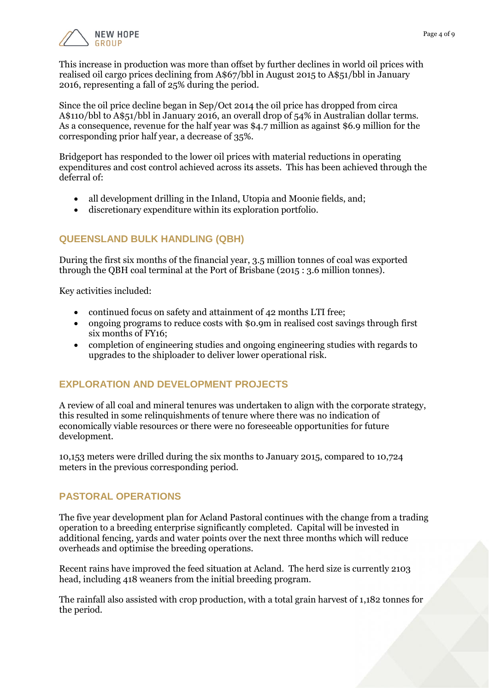

This increase in production was more than offset by further declines in world oil prices with realised oil cargo prices declining from A\$67/bbl in August 2015 to A\$51/bbl in January 2016, representing a fall of 25% during the period.

Since the oil price decline began in Sep/Oct 2014 the oil price has dropped from circa A\$110/bbl to A\$51/bbl in January 2016, an overall drop of 54% in Australian dollar terms. As a consequence, revenue for the half year was \$4.7 million as against \$6.9 million for the corresponding prior half year, a decrease of 35%.

Bridgeport has responded to the lower oil prices with material reductions in operating expenditures and cost control achieved across its assets. This has been achieved through the deferral of:

- all development drilling in the Inland, Utopia and Moonie fields, and;
- discretionary expenditure within its exploration portfolio.

### **QUEENSLAND BULK HANDLING (QBH)**

During the first six months of the financial year, 3.5 million tonnes of coal was exported through the QBH coal terminal at the Port of Brisbane (2015 : 3.6 million tonnes).

Key activities included:

- continued focus on safety and attainment of 42 months LTI free;
- ongoing programs to reduce costs with \$0.9m in realised cost savings through first six months of FY16;
- completion of engineering studies and ongoing engineering studies with regards to upgrades to the shiploader to deliver lower operational risk.

### **EXPLORATION AND DEVELOPMENT PROJECTS**

A review of all coal and mineral tenures was undertaken to align with the corporate strategy, this resulted in some relinquishments of tenure where there was no indication of economically viable resources or there were no foreseeable opportunities for future development.

10,153 meters were drilled during the six months to January 2015, compared to 10,724 meters in the previous corresponding period.

### **PASTORAL OPERATIONS**

The five year development plan for Acland Pastoral continues with the change from a trading operation to a breeding enterprise significantly completed. Capital will be invested in additional fencing, yards and water points over the next three months which will reduce overheads and optimise the breeding operations.

Recent rains have improved the feed situation at Acland. The herd size is currently 2103 head, including 418 weaners from the initial breeding program.

The rainfall also assisted with crop production, with a total grain harvest of 1,182 tonnes for the period.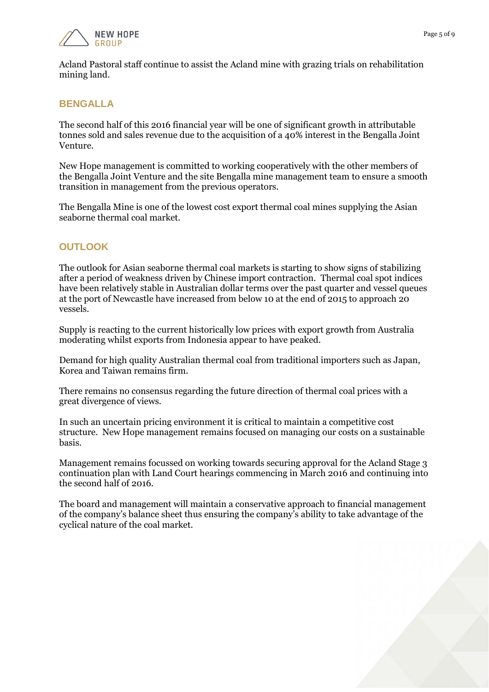

Acland Pastoral staff continue to assist the Acland mine with grazing trials on rehabilitation mining land.

#### **BENGALLA**

The second half of this 2016 financial year will be one of significant growth in attributable tonnes sold and sales revenue due to the acquisition of a 40% interest in the Bengalla Joint Venture.

New Hope management is committed to working cooperatively with the other members of the Bengalla Joint Venture and the site Bengalla mine management team to ensure a smooth transition in management from the previous operators.

The Bengalla Mine is one of the lowest cost export thermal coal mines supplying the Asian seaborne thermal coal market.

#### **OUTLOOK**

The outlook for Asian seaborne thermal coal markets is starting to show signs of stabilizing after a period of weakness driven by Chinese import contraction. Thermal coal spot indices have been relatively stable in Australian dollar terms over the past quarter and vessel queues at the port of Newcastle have increased from below 10 at the end of 2015 to approach 20 vessels.

Supply is reacting to the current historically low prices with export growth from Australia moderating whilst exports from Indonesia appear to have peaked.

Demand for high quality Australian thermal coal from traditional importers such as Japan, Korea and Taiwan remains firm.

There remains no consensus regarding the future direction of thermal coal prices with a great divergence of views.

In such an uncertain pricing environment it is critical to maintain a competitive cost structure. New Hope management remains focused on managing our costs on a sustainable basis.

Management remains focussed on working towards securing approval for the Acland Stage 3 continuation plan with Land Court hearings commencing in March 2016 and continuing into the second half of 2016.

The board and management will maintain a conservative approach to financial management of the company"s balance sheet thus ensuring the company"s ability to take advantage of the cyclical nature of the coal market.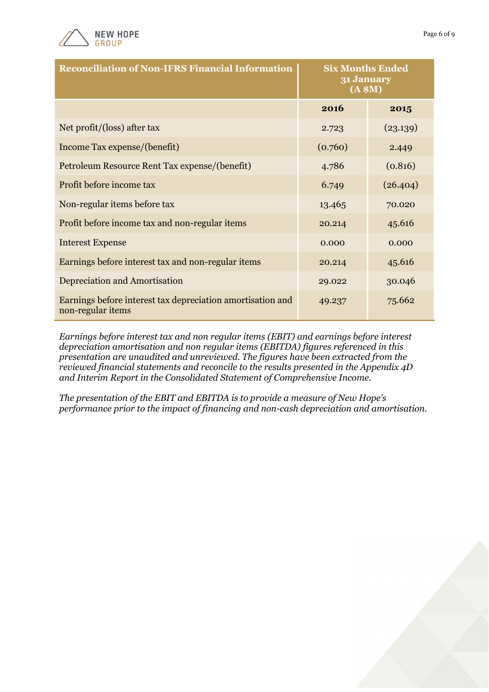

non-regular items

| <b>Reconciliation of Non-IFRS Financial Information</b>    | <b>Six Months Ended</b><br>31 January<br>(A \$M) |          |
|------------------------------------------------------------|--------------------------------------------------|----------|
|                                                            | 2016                                             | 2015     |
| Net profit/(loss) after tax                                | 2.723                                            | (23.139) |
| Income Tax expense/(benefit)                               | (0.760)                                          | 2.449    |
| Petroleum Resource Rent Tax expense/(benefit)              | 4.786                                            | (0.816)  |
| Profit before income tax                                   | 6.749                                            | (26.404) |
| Non-regular items before tax                               | 13.465                                           | 70.020   |
| Profit before income tax and non-regular items             | 20.214                                           | 45.616   |
| <b>Interest Expense</b>                                    | 0.000                                            | 0.000    |
| Earnings before interest tax and non-regular items         | 20.214                                           | 45.616   |
| Depreciation and Amortisation                              | 29.022                                           | 30.046   |
| Earnings before interest tax depreciation amortisation and | 49.237                                           | 75.662   |

*Earnings before interest tax and non regular items (EBIT) and earnings before interest depreciation amortisation and non regular items (EBITDA) figures referenced in this presentation are unaudited and unreviewed. The figures have been extracted from the reviewed financial statements and reconcile to the results presented in the Appendix 4D and Interim Report in the Consolidated Statement of Comprehensive Income.*

*The presentation of the EBIT and EBITDA is to provide a measure of New Hope's performance prior to the impact of financing and non-cash depreciation and amortisation.* 

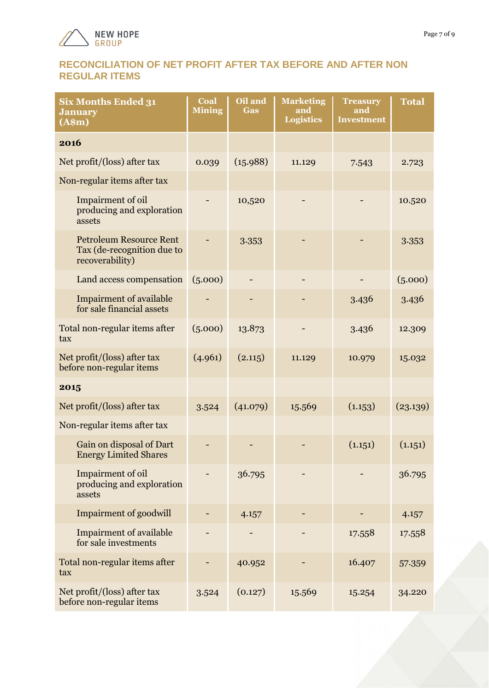

#### **RECONCILIATION OF NET PROFIT AFTER TAX BEFORE AND AFTER NON REGULAR ITEMS**

| <b>Six Months Ended 31</b><br><b>January</b><br>(A\$m)                          | Coal<br><b>Mining</b> | Oil and<br><b>Gas</b> | <b>Marketing</b><br>and<br><b>Logistics</b> | <b>Treasury</b><br>and<br><b>Investment</b> | <b>Total</b> |
|---------------------------------------------------------------------------------|-----------------------|-----------------------|---------------------------------------------|---------------------------------------------|--------------|
| 2016                                                                            |                       |                       |                                             |                                             |              |
| Net profit/(loss) after tax                                                     | 0.039                 | (15.988)              | 11.129                                      | 7.543                                       | 2.723        |
| Non-regular items after tax                                                     |                       |                       |                                             |                                             |              |
| Impairment of oil<br>producing and exploration<br>assets                        |                       | 10,520                |                                             |                                             | 10.520       |
| <b>Petroleum Resource Rent</b><br>Tax (de-recognition due to<br>recoverability) |                       | 3.353                 |                                             |                                             | 3.353        |
| Land access compensation                                                        | (5.000)               |                       |                                             |                                             | (5.000)      |
| <b>Impairment of available</b><br>for sale financial assets                     |                       |                       |                                             | 3.436                                       | 3.436        |
| Total non-regular items after<br>tax                                            | (5.000)               | 13.873                |                                             | 3.436                                       | 12.309       |
| Net profit/(loss) after tax<br>before non-regular items                         | (4.961)               | (2.115)               | 11.129                                      | 10.979                                      | 15.032       |
| 2015                                                                            |                       |                       |                                             |                                             |              |
| Net profit/(loss) after tax                                                     | 3.524                 | (41.079)              | 15.569                                      | (1.153)                                     | (23.139)     |
| Non-regular items after tax                                                     |                       |                       |                                             |                                             |              |
| Gain on disposal of Dart<br><b>Energy Limited Shares</b>                        |                       |                       |                                             | (1.151)                                     | (1.151)      |
| Impairment of oil<br>producing and exploration<br>assets                        |                       | 36.795                |                                             |                                             | 36.795       |
| <b>Impairment of goodwill</b>                                                   |                       | 4.157                 |                                             |                                             | 4.157        |
| <b>Impairment of available</b><br>for sale investments                          |                       |                       |                                             | 17.558                                      | 17.558       |
| Total non-regular items after<br>tax                                            |                       | 40.952                |                                             | 16.407                                      | 57.359       |
| Net profit/(loss) after tax<br>before non-regular items                         | 3.524                 | (0.127)               | 15.569                                      | 15.254                                      | 34.220       |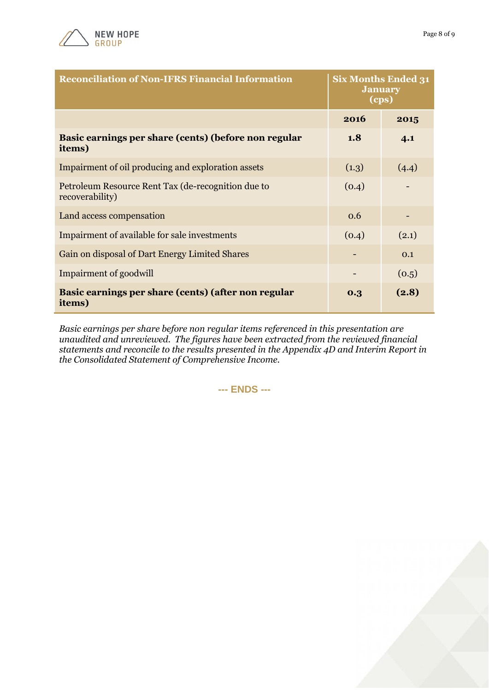

| <b>Reconciliation of Non-IFRS Financial Information</b>               | <b>Six Months Ended 31</b><br><b>January</b><br>(cps) |       |
|-----------------------------------------------------------------------|-------------------------------------------------------|-------|
|                                                                       | 2016                                                  | 2015  |
| Basic earnings per share (cents) (before non regular<br>items)        | 1.8                                                   | 4.1   |
| Impairment of oil producing and exploration assets                    | (1.3)                                                 | (4.4) |
| Petroleum Resource Rent Tax (de-recognition due to<br>recoverability) | (0.4)                                                 |       |
| Land access compensation                                              | 0.6                                                   |       |
| Impairment of available for sale investments                          | (0.4)                                                 | (2.1) |
| Gain on disposal of Dart Energy Limited Shares                        |                                                       | 0.1   |
| Impairment of goodwill                                                |                                                       | (0.5) |
| Basic earnings per share (cents) (after non regular<br>items)         | 0.3                                                   | (2.8) |

*Basic earnings per share before non regular items referenced in this presentation are unaudited and unreviewed. The figures have been extracted from the reviewed financial statements and reconcile to the results presented in the Appendix 4D and Interim Report in the Consolidated Statement of Comprehensive Income.*